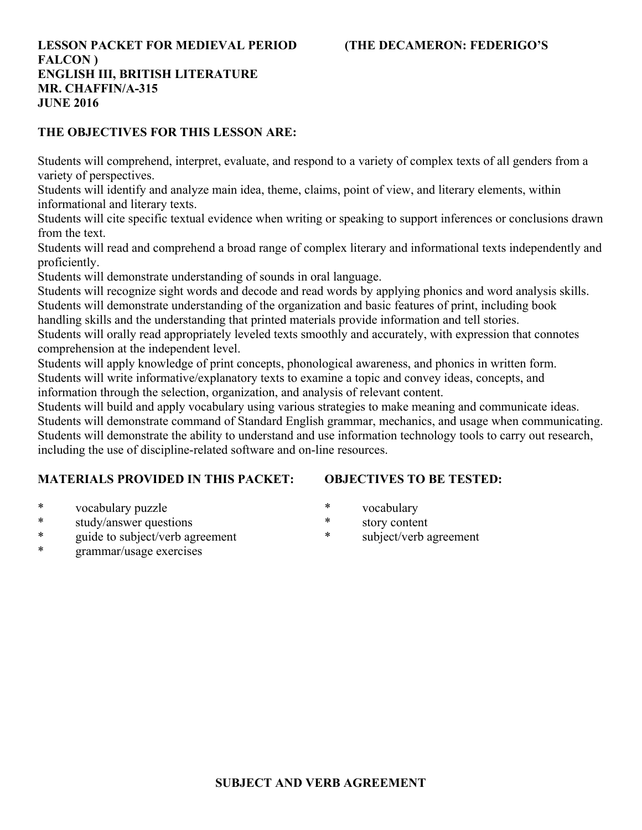## **LESSON PACKET FOR MEDIEVAL PERIOD (THE DECAMERON: FEDERIGO'S FALCON ) ENGLISH III, BRITISH LITERATURE MR. CHAFFIN/A-315 JUNE 2016**

# **THE OBJECTIVES FOR THIS LESSON ARE:**

Students will comprehend, interpret, evaluate, and respond to a variety of complex texts of all genders from a variety of perspectives.

Students will identify and analyze main idea, theme, claims, point of view, and literary elements, within informational and literary texts.

Students will cite specific textual evidence when writing or speaking to support inferences or conclusions drawn from the text.

Students will read and comprehend a broad range of complex literary and informational texts independently and proficiently.

Students will demonstrate understanding of sounds in oral language.

Students will recognize sight words and decode and read words by applying phonics and word analysis skills. Students will demonstrate understanding of the organization and basic features of print, including book handling skills and the understanding that printed materials provide information and tell stories.

Students will orally read appropriately leveled texts smoothly and accurately, with expression that connotes comprehension at the independent level.

Students will apply knowledge of print concepts, phonological awareness, and phonics in written form. Students will write informative/explanatory texts to examine a topic and convey ideas, concepts, and information through the selection, organization, and analysis of relevant content.

Students will build and apply vocabulary using various strategies to make meaning and communicate ideas. Students will demonstrate command of Standard English grammar, mechanics, and usage when communicating. Students will demonstrate the ability to understand and use information technology tools to carry out research, including the use of discipline-related software and on-line resources.

# **MATERIALS PROVIDED IN THIS PACKET:**

# **OBJECTIVES TO BE TESTED:**

- \* vocabulary puzzle
- \* study/answer questions
- \* guide to subject/verb agreement
- \* vocabulary
- \* story content
- subject/verb agreement

\* grammar/usage exercises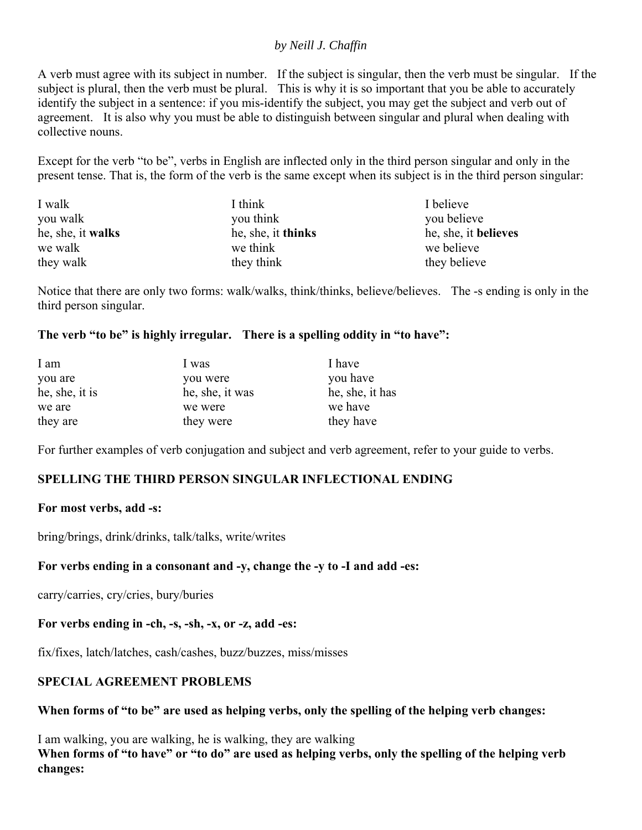## *by Neill J. Chaffin*

A verb must agree with its subject in number. If the subject is singular, then the verb must be singular. If the subject is plural, then the verb must be plural. This is why it is so important that you be able to accurately identify the subject in a sentence: if you mis-identify the subject, you may get the subject and verb out of agreement. It is also why you must be able to distinguish between singular and plural when dealing with collective nouns.

Except for the verb "to be", verbs in English are inflected only in the third person singular and only in the present tense. That is, the form of the verb is the same except when its subject is in the third person singular:

| I walk            | I think            | I believe            |
|-------------------|--------------------|----------------------|
| you walk          | you think          | you believe          |
| he, she, it walks | he, she, it thinks | he, she, it believes |
| we walk           | we think           | we believe           |
| they walk         | they think         | they believe         |

Notice that there are only two forms: walk/walks, think/thinks, believe/believes. The -s ending is only in the third person singular.

## **The verb "to be" is highly irregular. There is a spelling oddity in "to have":**

| I am           | 1 was           | I have          |
|----------------|-----------------|-----------------|
| you are        | you were        | you have        |
| he, she, it is | he, she, it was | he, she, it has |
| we are         | we were         | we have         |
| they are       | they were       | they have       |

For further examples of verb conjugation and subject and verb agreement, refer to your guide to verbs.

## **SPELLING THE THIRD PERSON SINGULAR INFLECTIONAL ENDING**

## **For most verbs, add -s:**

bring/brings, drink/drinks, talk/talks, write/writes

## **For verbs ending in a consonant and -y, change the -y to -I and add -es:**

carry/carries, cry/cries, bury/buries

## **For verbs ending in -ch, -s, -sh, -x, or -z, add -es:**

fix/fixes, latch/latches, cash/cashes, buzz/buzzes, miss/misses

## **SPECIAL AGREEMENT PROBLEMS**

**When forms of "to be" are used as helping verbs, only the spelling of the helping verb changes:**

I am walking, you are walking, he is walking, they are walking When forms of "to have" or "to do" are used as helping verbs, only the spelling of the helping verb **changes:**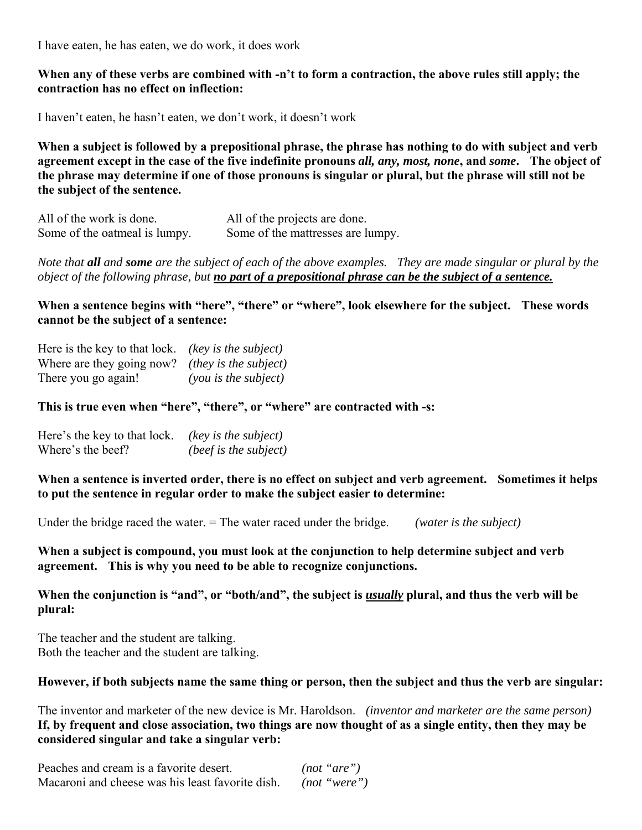I have eaten, he has eaten, we do work, it does work

## **When any of these verbs are combined with -n't to form a contraction, the above rules still apply; the contraction has no effect on inflection:**

I haven't eaten, he hasn't eaten, we don't work, it doesn't work

**When a subject is followed by a prepositional phrase, the phrase has nothing to do with subject and verb agreement except in the case of the five indefinite pronouns** *all, any, most, none***, and** *some***. The object of the phrase may determine if one of those pronouns is singular or plural, but the phrase will still not be the subject of the sentence.** 

| All of the work is done.      | All of the projects are done.     |
|-------------------------------|-----------------------------------|
| Some of the oatmeal is lumpy. | Some of the mattresses are lumpy. |

*Note that all and some are the subject of each of the above examples. They are made singular or plural by the object of the following phrase, but no part of a prepositional phrase can be the subject of a sentence.*

When a sentence begins with "here", "there" or "where", look elsewhere for the subject. These words **cannot be the subject of a sentence:**

| Here is the key to that lock. (key is the subject)     |                        |
|--------------------------------------------------------|------------------------|
| Where are they going now? <i>(they is the subject)</i> |                        |
| There you go again!                                    | $(you$ is the subject) |

**This is true even when "here", "there", or "where" are contracted with -s:**

| Here's the key to that lock. | (key is the subject)  |
|------------------------------|-----------------------|
| Where's the beef?            | (beef is the subject) |

**When a sentence is inverted order, there is no effect on subject and verb agreement. Sometimes it helps to put the sentence in regular order to make the subject easier to determine:**

Under the bridge raced the water. = The water raced under the bridge. *(water is the subject)*

**When a subject is compound, you must look at the conjunction to help determine subject and verb agreement. This is why you need to be able to recognize conjunctions.** 

## **When the conjunction is "and", or "both/and", the subject is** *usually* **plural, and thus the verb will be plural:**

The teacher and the student are talking. Both the teacher and the student are talking.

## **However, if both subjects name the same thing or person, then the subject and thus the verb are singular:**

The inventor and marketer of the new device is Mr. Haroldson. *(inventor and marketer are the same person)* **If, by frequent and close association, two things are now thought of as a single entity, then they may be considered singular and take a singular verb:**

| Peaches and cream is a favorite desert.          | (not "are")  |  |
|--------------------------------------------------|--------------|--|
| Macaroni and cheese was his least favorite dish. | (not "were") |  |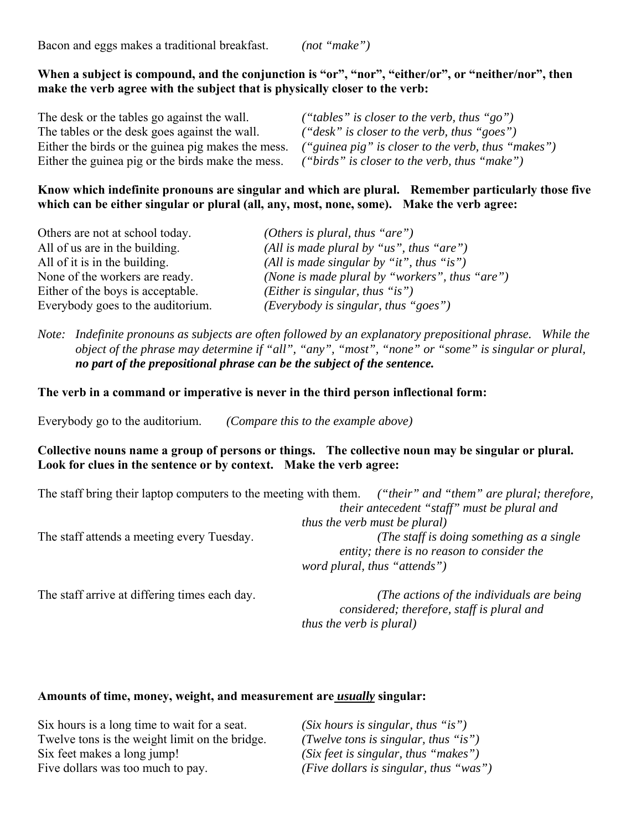Bacon and eggs makes a traditional breakfast. *(not "make")*

## When a subject is compound, and the conjunction is "or", "nor", "either/or", or "neither/nor", then **make the verb agree with the subject that is physically closer to the verb:**

| The desk or the tables go against the wall.        | ("tables" is closer to the verb, thus "go")        |
|----------------------------------------------------|----------------------------------------------------|
| The tables or the desk goes against the wall.      | $("desk"$ is closer to the verb, thus "goes")      |
| Either the birds or the guinea pig makes the mess. | ("guinea pig" is closer to the verb, thus "makes") |
| Either the guinea pig or the birds make the mess.  | ("birds" is closer to the verb, thus "make")       |

## **Know which indefinite pronouns are singular and which are plural. Remember particularly those five which can be either singular or plural (all, any, most, none, some). Make the verb agree:**

| Others are not at school today.   | (Others is plural, thus "are")                   |
|-----------------------------------|--------------------------------------------------|
| All of us are in the building.    | (All is made plural by "us", thus "are")         |
| All of it is in the building.     | (All is made singular by "it", thus "is")        |
| None of the workers are ready.    | (None is made plural by "workers", thus "are")   |
| Either of the boys is acceptable. | ( <i>Either is singular, thus</i> " <i>is</i> ") |
| Everybody goes to the auditorium. | (Everybody is singular, thus "goes")             |

*Note: Indefinite pronouns as subjects are often followed by an explanatory prepositional phrase. While the object of the phrase may determine if "all", "any", "most", "none" or "some" is singular or plural, no part of the prepositional phrase can be the subject of the sentence.*

**The verb in a command or imperative is never in the third person inflectional form:**

Everybody go to the auditorium. *(Compare this to the example above)* 

## **Collective nouns name a group of persons or things. The collective noun may be singular or plural. Look for clues in the sentence or by context. Make the verb agree:**

|                                            | The staff bring their laptop computers to the meeting with them. ("their" and "them" are plural; therefore, |
|--------------------------------------------|-------------------------------------------------------------------------------------------------------------|
|                                            | their antecedent "staff" must be plural and                                                                 |
|                                            | <i>thus the verb must be plural)</i>                                                                        |
| The staff attends a meeting every Tuesday. | (The staff is doing something as a single)                                                                  |
|                                            | entity; there is no reason to consider the                                                                  |
|                                            | word plural, thus "attends")                                                                                |
|                                            |                                                                                                             |

The staff arrive at differing times each day. *(The actions of the individuals are being considered; therefore, staff is plural and thus the verb is plural)*

#### **Amounts of time, money, weight, and measurement are** *usually* **singular:**

| Six hours is a long time to wait for a seat.   | $(Six$ hours is singular, thus "is")   |
|------------------------------------------------|----------------------------------------|
| Twelve tons is the weight limit on the bridge. | (Twelve tons is singular, thus "is")   |
| Six feet makes a long jump!                    | (Six feet is singular, thus "makes")   |
| Five dollars was too much to pay.              | (Five dollars is singular, thus "was") |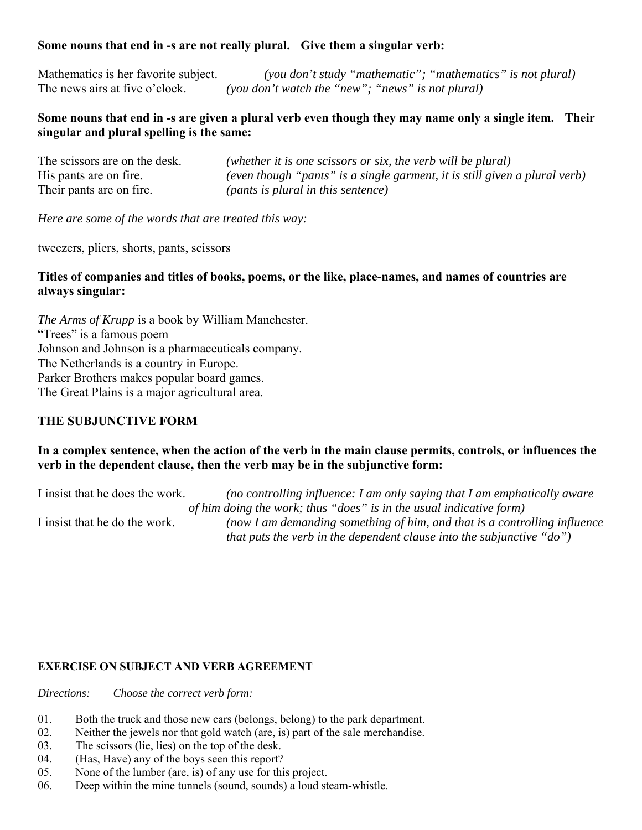## **Some nouns that end in -s are not really plural. Give them a singular verb:**

Mathematics is her favorite subject. *(you don't study "mathematic"; "mathematics" is not plural)* The news airs at five o'clock. *(you don't watch the "new"; "news" is not plural)* 

## **Some nouns that end in -s are given a plural verb even though they may name only a single item. Their singular and plural spelling is the same:**

| The scissors are on the desk. | (whether it is one scissors or six, the verb will be plural)               |
|-------------------------------|----------------------------------------------------------------------------|
| His pants are on fire.        | (even though "pants" is a single garment, it is still given a plural verb) |
| Their pants are on fire.      | ( <i>pants is plural in this sentence</i> )                                |

*Here are some of the words that are treated this way:*

tweezers, pliers, shorts, pants, scissors

## **Titles of companies and titles of books, poems, or the like, place-names, and names of countries are always singular:**

*The Arms of Krupp* is a book by William Manchester. "Trees" is a famous poem Johnson and Johnson is a pharmaceuticals company. The Netherlands is a country in Europe. Parker Brothers makes popular board games. The Great Plains is a major agricultural area.

## **THE SUBJUNCTIVE FORM**

## **In a complex sentence, when the action of the verb in the main clause permits, controls, or influences the verb in the dependent clause, then the verb may be in the subjunctive form:**

I insist that he does the work. *(no controlling influence: I am only saying that I am emphatically aware of him doing the work; thus "does" is in the usual indicative form)* I insist that he do the work. *(now I am demanding something of him, and that is a controlling influence that puts the verb in the dependent clause into the subjunctive "do")*

#### **EXERCISE ON SUBJECT AND VERB AGREEMENT**

*Directions: Choose the correct verb form:*

- 01. Both the truck and those new cars (belongs, belong) to the park department.
- 02. Neither the jewels nor that gold watch (are, is) part of the sale merchandise.
- 03. The scissors (lie, lies) on the top of the desk.
- 04. (Has, Have) any of the boys seen this report?
- 05. None of the lumber (are, is) of any use for this project.
- 06. Deep within the mine tunnels (sound, sounds) a loud steam-whistle.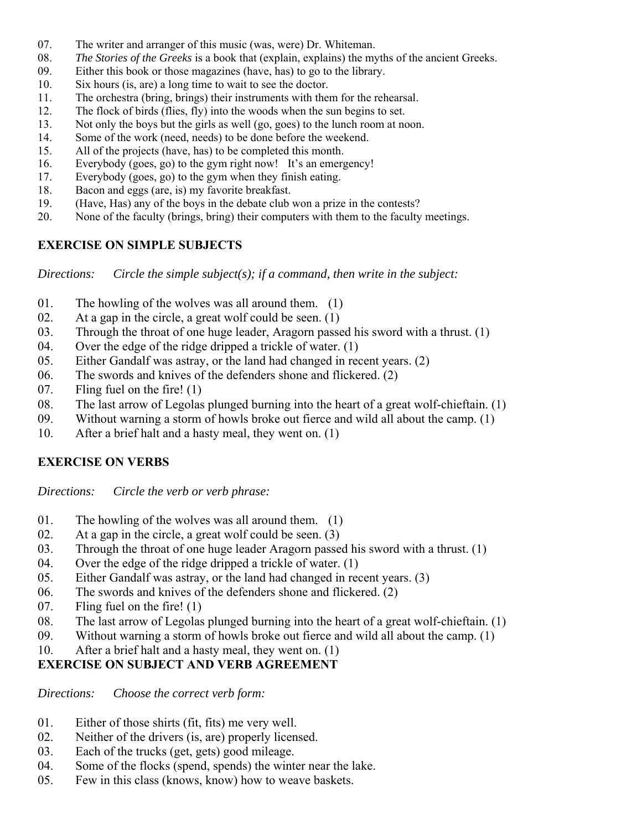- 07. The writer and arranger of this music (was, were) Dr. Whiteman.
- 08. *The Stories of the Greeks* is a book that (explain, explains) the myths of the ancient Greeks.
- 09. Either this book or those magazines (have, has) to go to the library.
- 10. Six hours (is, are) a long time to wait to see the doctor.
- 11. The orchestra (bring, brings) their instruments with them for the rehearsal.
- 12. The flock of birds (flies, fly) into the woods when the sun begins to set.
- 13. Not only the boys but the girls as well (go, goes) to the lunch room at noon.
- 14. Some of the work (need, needs) to be done before the weekend.
- 15. All of the projects (have, has) to be completed this month.
- 16. Everybody (goes, go) to the gym right now! It's an emergency!
- 17. Everybody (goes, go) to the gym when they finish eating.
- 18. Bacon and eggs (are, is) my favorite breakfast.
- 19. (Have, Has) any of the boys in the debate club won a prize in the contests?
- 20. None of the faculty (brings, bring) their computers with them to the faculty meetings.

## **EXERCISE ON SIMPLE SUBJECTS**

*Directions: Circle the simple subject(s); if a command, then write in the subject:*

- 01. The howling of the wolves was all around them. (1)
- 02. At a gap in the circle, a great wolf could be seen. (1)
- 03. Through the throat of one huge leader, Aragorn passed his sword with a thrust. (1)
- 04. Over the edge of the ridge dripped a trickle of water. (1)
- 05. Either Gandalf was astray, or the land had changed in recent years. (2)
- 06. The swords and knives of the defenders shone and flickered. (2)
- 07. Fling fuel on the fire! (1)
- 08. The last arrow of Legolas plunged burning into the heart of a great wolf-chieftain. (1)
- 09. Without warning a storm of howls broke out fierce and wild all about the camp. (1)
- 10. After a brief halt and a hasty meal, they went on. (1)

## **EXERCISE ON VERBS**

*Directions: Circle the verb or verb phrase:*

- 01. The howling of the wolves was all around them. (1)
- 02. At a gap in the circle, a great wolf could be seen. (3)
- 03. Through the throat of one huge leader Aragorn passed his sword with a thrust. (1)
- 04. Over the edge of the ridge dripped a trickle of water. (1)
- 05. Either Gandalf was astray, or the land had changed in recent years. (3)
- 06. The swords and knives of the defenders shone and flickered. (2)
- 07. Fling fuel on the fire! (1)
- 08. The last arrow of Legolas plunged burning into the heart of a great wolf-chieftain. (1)
- 09. Without warning a storm of howls broke out fierce and wild all about the camp. (1)
- 10. After a brief halt and a hasty meal, they went on. (1)

# **EXERCISE ON SUBJECT AND VERB AGREEMENT**

*Directions: Choose the correct verb form:*

- 01. Either of those shirts (fit, fits) me very well.
- 02. Neither of the drivers (is, are) properly licensed.
- 03. Each of the trucks (get, gets) good mileage.
- 04. Some of the flocks (spend, spends) the winter near the lake.
- 05. Few in this class (knows, know) how to weave baskets.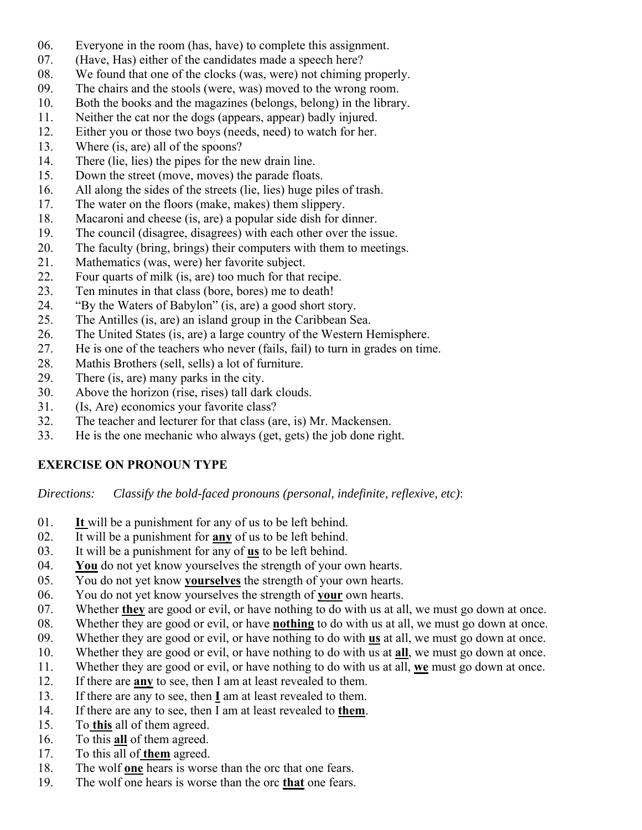- 06. Everyone in the room (has, have) to complete this assignment.
- 07. (Have, Has) either of the candidates made a speech here?
- 08. We found that one of the clocks (was, were) not chiming properly.
- 09. The chairs and the stools (were, was) moved to the wrong room.
- 10. Both the books and the magazines (belongs, belong) in the library.
- 11. Neither the cat nor the dogs (appears, appear) badly injured.
- 12. Either you or those two boys (needs, need) to watch for her.
- 13. Where (is, are) all of the spoons?
- 14. There (lie, lies) the pipes for the new drain line.
- 15. Down the street (move, moves) the parade floats.
- 16. All along the sides of the streets (lie, lies) huge piles of trash.
- 17. The water on the floors (make, makes) them slippery.
- 18. Macaroni and cheese (is, are) a popular side dish for dinner.
- 19. The council (disagree, disagrees) with each other over the issue.
- 20. The faculty (bring, brings) their computers with them to meetings.
- 21. Mathematics (was, were) her favorite subject.
- 22. Four quarts of milk (is, are) too much for that recipe.
- 23. Ten minutes in that class (bore, bores) me to death!
- 24. "By the Waters of Babylon" (is, are) a good short story.
- 25. The Antilles (is, are) an island group in the Caribbean Sea.
- 26. The United States (is, are) a large country of the Western Hemisphere.
- 27. He is one of the teachers who never (fails, fail) to turn in grades on time.
- 28. Mathis Brothers (sell, sells) a lot of furniture.
- 29. There (is, are) many parks in the city.
- 30. Above the horizon (rise, rises) tall dark clouds.
- 31. (Is, Are) economics your favorite class?
- 32. The teacher and lecturer for that class (are, is) Mr. Mackensen.
- 33. He is the one mechanic who always (get, gets) the job done right.

# **EXERCISE ON PRONOUN TYPE**

*Directions: Classify the bold-faced pronouns (personal, indefinite, reflexive, etc)*:

- 01. **It** will be a punishment for any of us to be left behind.
- 02. It will be a punishment for **any** of us to be left behind.
- 03. It will be a punishment for any of **us** to be left behind.
- 04. **You** do not yet know yourselves the strength of your own hearts.
- 05. You do not yet know **yourselves** the strength of your own hearts.
- 06. You do not yet know yourselves the strength of **your** own hearts.
- 07. Whether **they** are good or evil, or have nothing to do with us at all, we must go down at once.
- 08. Whether they are good or evil, or have **nothing** to do with us at all, we must go down at once.
- 09. Whether they are good or evil, or have nothing to do with **us** at all, we must go down at once.
- 10. Whether they are good or evil, or have nothing to do with us at **all**, we must go down at once.
- 11. Whether they are good or evil, or have nothing to do with us at all, **we** must go down at once.
- 12. If there are **any** to see, then I am at least revealed to them.
- 13. If there are any to see, then **I** am at least revealed to them.
- 14. If there are any to see, then I am at least revealed to **them**.
- 15. To **this** all of them agreed.
- 16. To this **all** of them agreed.
- 17. To this all of **them** agreed.
- 18. The wolf **one** hears is worse than the orc that one fears.
- 19. The wolf one hears is worse than the orc **that** one fears.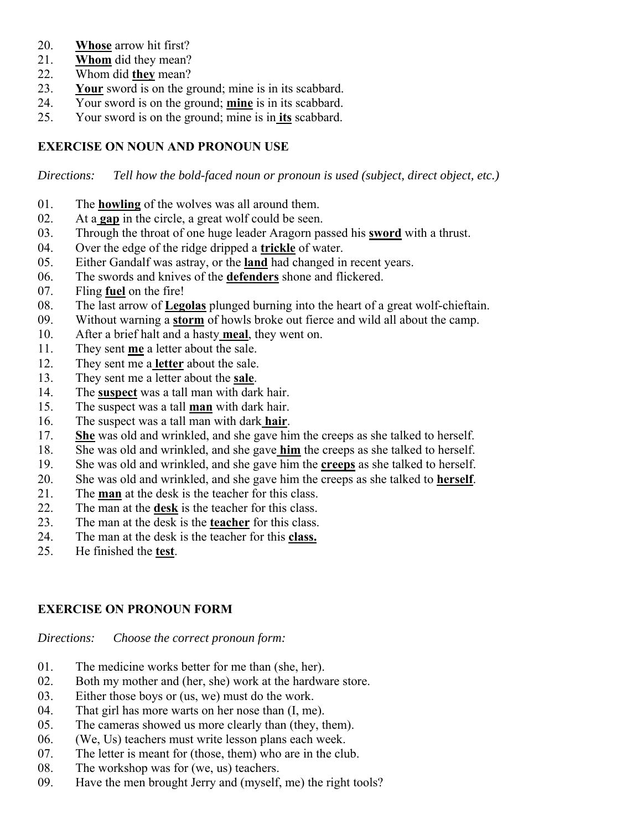- 20. **Whose** arrow hit first?
- 21. **Whom** did they mean?
- 22. Whom did **they** mean?
- 23. **Your** sword is on the ground; mine is in its scabbard.
- 24. Your sword is on the ground; **mine** is in its scabbard.
- 25. Your sword is on the ground; mine is in **its** scabbard.

## **EXERCISE ON NOUN AND PRONOUN USE**

*Directions: Tell how the bold-faced noun or pronoun is used (subject, direct object, etc.)*

- 01. The **howling** of the wolves was all around them.
- 02. At a **gap** in the circle, a great wolf could be seen.
- 03. Through the throat of one huge leader Aragorn passed his **sword** with a thrust.
- 04. Over the edge of the ridge dripped a **trickle** of water.
- 05. Either Gandalf was astray, or the **land** had changed in recent years.
- 06. The swords and knives of the **defenders** shone and flickered.
- 07. Fling **fuel** on the fire!
- 08. The last arrow of **Legolas** plunged burning into the heart of a great wolf-chieftain.
- 09. Without warning a **storm** of howls broke out fierce and wild all about the camp.
- 10. After a brief halt and a hasty **meal**, they went on.
- 11. They sent **me** a letter about the sale.
- 12. They sent me a **letter** about the sale.
- 13. They sent me a letter about the **sale**.
- 14. The **suspect** was a tall man with dark hair.
- 15. The suspect was a tall **man** with dark hair.
- 16. The suspect was a tall man with dark **hair**.
- 17. **She** was old and wrinkled, and she gave him the creeps as she talked to herself.
- 18. She was old and wrinkled, and she gave **him** the creeps as she talked to herself.
- 19. She was old and wrinkled, and she gave him the **creeps** as she talked to herself.
- 20. She was old and wrinkled, and she gave him the creeps as she talked to **herself**.
- 21. The **man** at the desk is the teacher for this class.
- 22. The man at the **desk** is the teacher for this class.
- 23. The man at the desk is the **teacher** for this class.
- 24. The man at the desk is the teacher for this **class.**
- 25. He finished the **test**.

## **EXERCISE ON PRONOUN FORM**

*Directions: Choose the correct pronoun form:*

- 01. The medicine works better for me than (she, her).
- 02. Both my mother and (her, she) work at the hardware store.
- 03. Either those boys or (us, we) must do the work.
- 04. That girl has more warts on her nose than (I, me).
- 05. The cameras showed us more clearly than (they, them).
- 06. (We, Us) teachers must write lesson plans each week.
- 07. The letter is meant for (those, them) who are in the club.
- 08. The workshop was for (we, us) teachers.
- 09. Have the men brought Jerry and (myself, me) the right tools?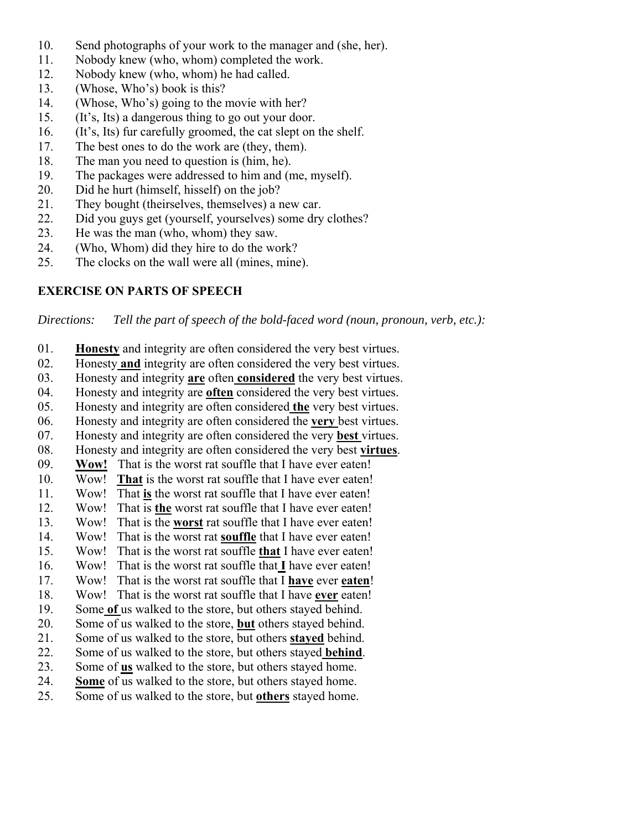- 10. Send photographs of your work to the manager and (she, her).
- 11. Nobody knew (who, whom) completed the work.
- 12. Nobody knew (who, whom) he had called.
- 13. (Whose, Who's) book is this?
- 14. (Whose, Who's) going to the movie with her?
- 15. (It's, Its) a dangerous thing to go out your door.
- 16. (It's, Its) fur carefully groomed, the cat slept on the shelf.
- 17. The best ones to do the work are (they, them).
- 18. The man you need to question is (him, he).
- 19. The packages were addressed to him and (me, myself).
- 20. Did he hurt (himself, hisself) on the job?
- 21. They bought (theirselves, themselves) a new car.
- 22. Did you guys get (yourself, yourselves) some dry clothes?
- 23. He was the man (who, whom) they saw.
- 24. (Who, Whom) did they hire to do the work?
- 25. The clocks on the wall were all (mines, mine).

# **EXERCISE ON PARTS OF SPEECH**

*Directions: Tell the part of speech of the bold-faced word (noun, pronoun, verb, etc.):*

- 01. **Honesty** and integrity are often considered the very best virtues.
- 02. Honesty **and** integrity are often considered the very best virtues.
- 03. Honesty and integrity **are** often **considered** the very best virtues.
- 04. Honesty and integrity are **often** considered the very best virtues.
- 05. Honesty and integrity are often considered **the** very best virtues.
- 06. Honesty and integrity are often considered the **very** best virtues.
- 07. Honesty and integrity are often considered the very **best** virtues.
- 08. Honesty and integrity are often considered the very best **virtues**.
- 09. **Wow!** That is the worst rat souffle that I have ever eaten!
- 10. Wow! **That** is the worst rat souffle that I have ever eaten!
- 11. Wow! That **is** the worst rat souffle that I have ever eaten!
- 12. Wow! That is **the** worst rat souffle that I have ever eaten!
- 13. Wow! That is the **worst** rat souffle that I have ever eaten!
- 14. Wow! That is the worst rat **souffle** that I have ever eaten!
- 15. Wow! That is the worst rat souffle **that** I have ever eaten!
- 16. Wow! That is the worst rat souffle that **I** have ever eaten!
- 17. Wow! That is the worst rat souffle that I **have** ever **eaten**!
- 18. Wow! That is the worst rat souffle that I have **ever** eaten!
- 19. Some **of** us walked to the store, but others stayed behind.
- 20. Some of us walked to the store, **but** others stayed behind.
- 21. Some of us walked to the store, but others **stayed** behind.
- 22. Some of us walked to the store, but others stayed **behind**.
- 23. Some of **us** walked to the store, but others stayed home.
- 24. **Some** of us walked to the store, but others stayed home.
- 25. Some of us walked to the store, but **others** stayed home.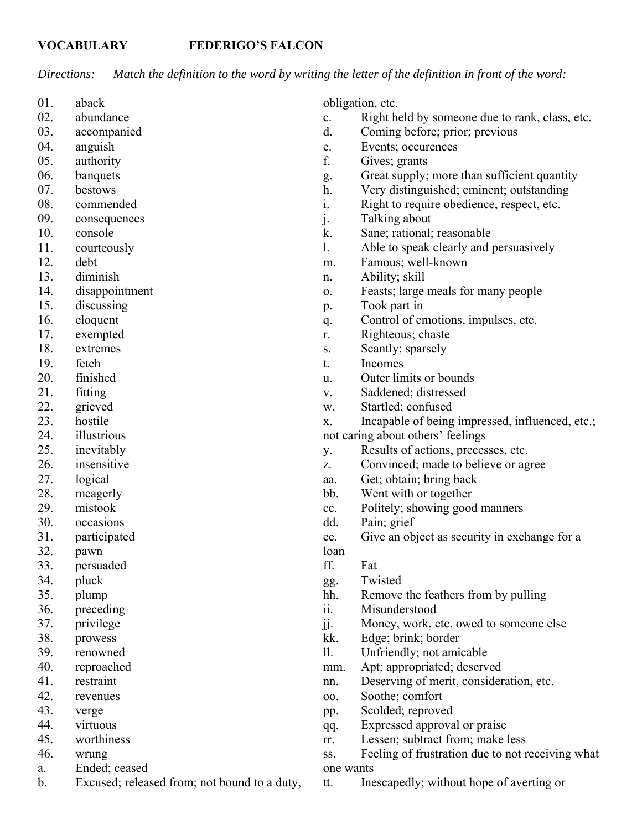## **VOCABULARY FEDERIGO'S FALCON**

*Directions: Match the definition to the word by writing the letter of the definition in front of the word:*

- 01. aback
- 02. abundance
- 03. accompanied
- 04. anguish
- 05. authority
- 06. banquets
- 07. bestows
- 08. commended
- 09. consequences
- 10. console
- 11. courteously
- 12. debt
- 13. diminish
- 14. disappointment
- 15. discussing
- 16. eloquent
- 17. exempted
- 18. extremes
- 19. fetch
- 20. finished
- 21. fitting
- 22. grieved
- 23. hostile
- 24. illustrious
- 25. inevitably
- 26. insensitive
- 27. logical
- 28. meagerly
- 29. mistook
- 30. occasions
- 31. participated
- 32. pawn
- 33. persuaded
- 34. pluck
- 35. plump
- 36. preceding
- 37. privilege
- 38. prowess
- 39. renowned
- 40. reproached
- 41. restraint
- 42. revenues
- 43. verge
- 44. virtuous
- 45. worthiness
- 46. wrung
- a. Ended; ceased
- b. Excused; released from; not bound to a duty,

obligation, etc.

- c. Right held by someone due to rank, class, etc.
- d. Coming before; prior; previous
- e. Events; occurences
- f. Gives; grants
- g. Great supply; more than sufficient quantity
- h. Very distinguished; eminent; outstanding
- i. Right to require obedience, respect, etc.
- j. Talking about
- k. Sane; rational; reasonable
- l. Able to speak clearly and persuasively
- m. Famous; well-known
- n. Ability; skill
- o. Feasts; large meals for many people
- p. Took part in
- q. Control of emotions, impulses, etc.
- r. Righteous; chaste
- s. Scantly; sparsely
- t. Incomes
- u. Outer limits or bounds
- v. Saddened; distressed
- w. Startled; confused
- x. Incapable of being impressed, influenced, etc.;

not caring about others' feelings

- y. Results of actions, precesses, etc.
- z. Convinced; made to believe or agree
- aa. Get; obtain; bring back
- bb. Went with or together
- cc. Politely; showing good manners
- dd. Pain; grief
- ee. Give an object as security in exchange for a loan
- ff. Fat
- gg. Twisted
- hh. Remove the feathers from by pulling
- ii. Misunderstood
- jj. Money, work, etc. owed to someone else
- kk. Edge; brink; border
- ll. Unfriendly; not amicable
- mm. Apt; appropriated; deserved
- nn. Deserving of merit, consideration, etc.
- oo. Soothe; comfort
- pp. Scolded; reproved
- qq. Expressed approval or praise
- rr. Lessen; subtract from; make less
- ss. Feeling of frustration due to not receiving what one wants
- tt. Inescapedly; without hope of averting or